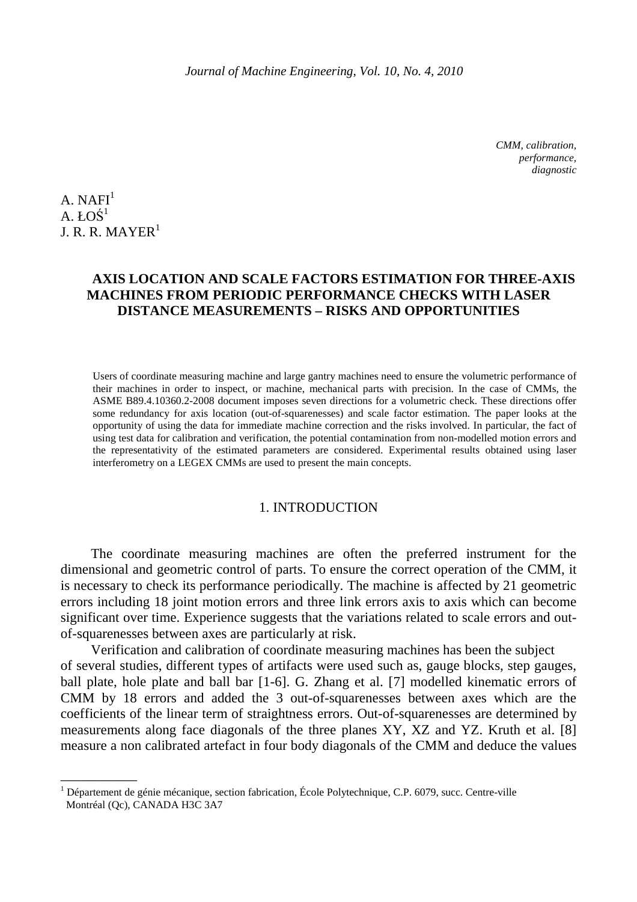*CMM, calibration, performance, diagnostic* 

 $A. NAFI<sup>1</sup>$  $A.$  ŁOŚ $^1$ I. R. R. MAYER<sup>1</sup>

 $\overline{\phantom{a}}$  , where  $\overline{\phantom{a}}$ 

# **AXIS LOCATION AND SCALE FACTORS ESTIMATION FOR THREE-AXIS MACHINES FROM PERIODIC PERFORMANCE CHECKS WITH LASER DISTANCE MEASUREMENTS – RISKS AND OPPORTUNITIES**

Users of coordinate measuring machine and large gantry machines need to ensure the volumetric performance of their machines in order to inspect, or machine, mechanical parts with precision. In the case of CMMs, the ASME B89.4.10360.2-2008 document imposes seven directions for a volumetric check. These directions offer some redundancy for axis location (out-of-squarenesses) and scale factor estimation. The paper looks at the opportunity of using the data for immediate machine correction and the risks involved. In particular, the fact of using test data for calibration and verification, the potential contamination from non-modelled motion errors and the representativity of the estimated parameters are considered. Experimental results obtained using laser interferometry on a LEGEX CMMs are used to present the main concepts.

# 1. INTRODUCTION

The coordinate measuring machines are often the preferred instrument for the dimensional and geometric control of parts. To ensure the correct operation of the CMM, it is necessary to check its performance periodically. The machine is affected by 21 geometric errors including 18 joint motion errors and three link errors axis to axis which can become significant over time. Experience suggests that the variations related to scale errors and outof-squarenesses between axes are particularly at risk.

Verification and calibration of coordinate measuring machines has been the subject of several studies, different types of artifacts were used such as, gauge blocks, step gauges, ball plate, hole plate and ball bar [1-6]. G. Zhang et al. [7] modelled kinematic errors of CMM by 18 errors and added the 3 out-of-squarenesses between axes which are the coefficients of the linear term of straightness errors. Out-of-squarenesses are determined by measurements along face diagonals of the three planes XY, XZ and YZ. Kruth et al. [8] measure a non calibrated artefact in four body diagonals of the CMM and deduce the values

<sup>1</sup> Département de génie mécanique, section fabrication, École Polytechnique, C.P. 6079, succ. Centre-ville Montréal (Qc), CANADA H3C 3A7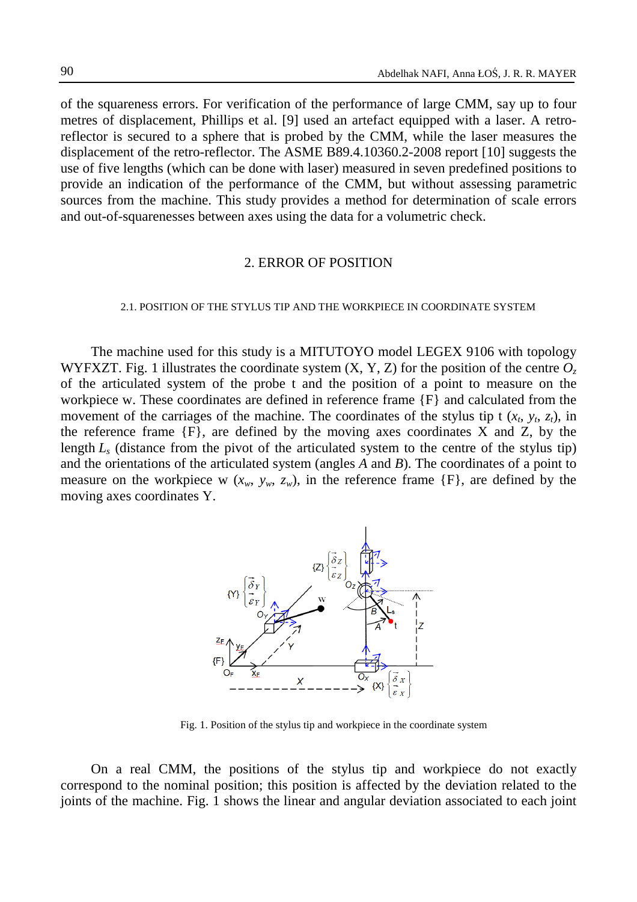of the squareness errors. For verification of the performance of large CMM, say up to four metres of displacement, Phillips et al. [9] used an artefact equipped with a laser. A retroreflector is secured to a sphere that is probed by the CMM, while the laser measures the displacement of the retro-reflector. The ASME B89.4.10360.2-2008 report [10] suggests the use of five lengths (which can be done with laser) measured in seven predefined positions to provide an indication of the performance of the CMM, but without assessing parametric sources from the machine. This study provides a method for determination of scale errors and out-of-squarenesses between axes using the data for a volumetric check.

### 2. ERROR OF POSITION

### 2.1. POSITION OF THE STYLUS TIP AND THE WORKPIECE IN COORDINATE SYSTEM

The machine used for this study is a MITUTOYO model LEGEX 9106 with topology WYFXZT. Fig. 1 illustrates the coordinate system  $(X, Y, Z)$  for the position of the centre  $O<sub>z</sub>$ of the articulated system of the probe t and the position of a point to measure on the workpiece w. These coordinates are defined in reference frame {F} and calculated from the movement of the carriages of the machine. The coordinates of the stylus tip t  $(x_t, y_t, z_t)$ , in the reference frame  ${F}$ , are defined by the moving axes coordinates X and Z, by the length *L<sup>s</sup>* (distance from the pivot of the articulated system to the centre of the stylus tip) and the orientations of the articulated system (angles *A* and *B*). The coordinates of a point to measure on the workpiece w  $(x_w, y_w, z_w)$ , in the reference frame  $\{F\}$ , are defined by the moving axes coordinates Y.



Fig. 1. Position of the stylus tip and workpiece in the coordinate system

On a real CMM, the positions of the stylus tip and workpiece do not exactly correspond to the nominal position; this position is affected by the deviation related to the joints of the machine. Fig. 1 shows the linear and angular deviation associated to each joint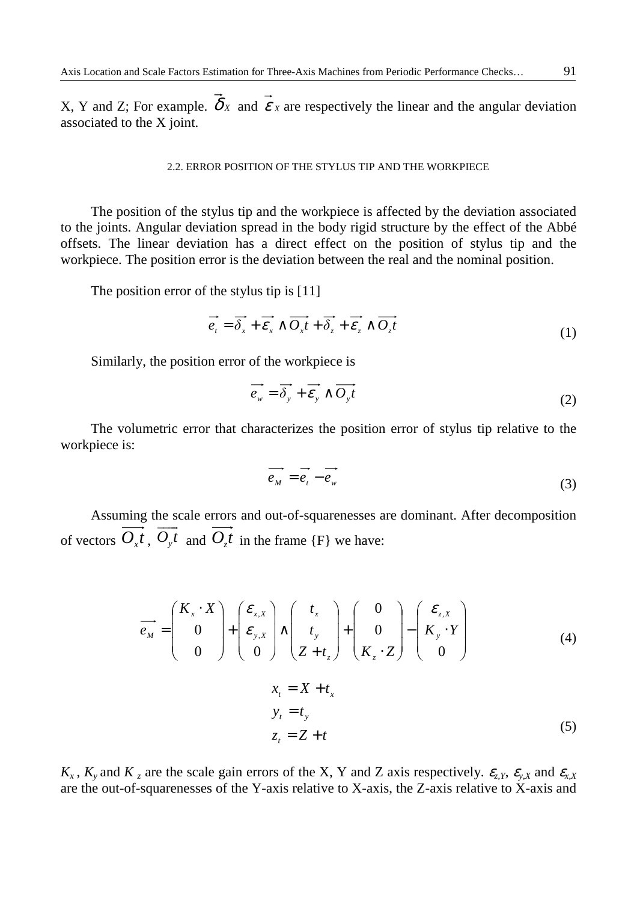X, Y and Z; For example.  $\overrightarrow{\delta}_X$  and  $\overrightarrow{\epsilon}_X$  are respectively the linear and the angular deviation associated to the X joint.

### 2.2. ERROR POSITION OF THE STYLUS TIP AND THE WORKPIECE

The position of the stylus tip and the workpiece is affected by the deviation associated to the joints. Angular deviation spread in the body rigid structure by the effect of the Abbé offsets. The linear deviation has a direct effect on the position of stylus tip and the workpiece. The position error is the deviation between the real and the nominal position.

The position error of the stylus tip is [11]

$$
\vec{e}_t = \vec{\delta}_x + \vec{\epsilon}_x \wedge \vec{O_x t} + \vec{\delta}_z + \vec{\epsilon}_z \wedge \vec{O_z t}
$$
 (1)

Similarly, the position error of the workpiece is

$$
\vec{e_w} = \vec{\delta_y} + \vec{\varepsilon_y} \wedge \vec{O_y}t
$$
 (2)

The volumetric error that characterizes the position error of stylus tip relative to the workpiece is:

$$
e_M = e_t - e_w \tag{3}
$$

Assuming the scale errors and out-of-squarenesses are dominant. After decomposition of vectors  $O_x t$ ,  $O_y t$  and  $O_z t$  in the frame {F} we have:

$$
\overrightarrow{e_M} = \begin{pmatrix} K_x \cdot X \\ 0 \\ 0 \end{pmatrix} + \begin{pmatrix} \mathcal{E}_{x,X} \\ \mathcal{E}_{y,X} \\ 0 \end{pmatrix} \wedge \begin{pmatrix} t_x \\ t_y \\ Z + t_z \end{pmatrix} + \begin{pmatrix} 0 \\ 0 \\ K_z \cdot Z \end{pmatrix} - \begin{pmatrix} \mathcal{E}_{z,X} \\ K_y \cdot Y \\ 0 \end{pmatrix}
$$
(4)

$$
xt = X + tx
$$
  
\n
$$
yt = ty
$$
  
\n
$$
zt = Z + t
$$
 (5)

 $K_x$ ,  $K_y$  and  $K_z$  are the scale gain errors of the X, Y and Z axis respectively.  $\epsilon_{z}$ ,  $\epsilon_{y}$ ,  $\epsilon_{y}$  and  $\epsilon_{x}$ ,  $\epsilon_{z}$ are the out-of-squarenesses of the Y-axis relative to X-axis, the Z-axis relative to X-axis and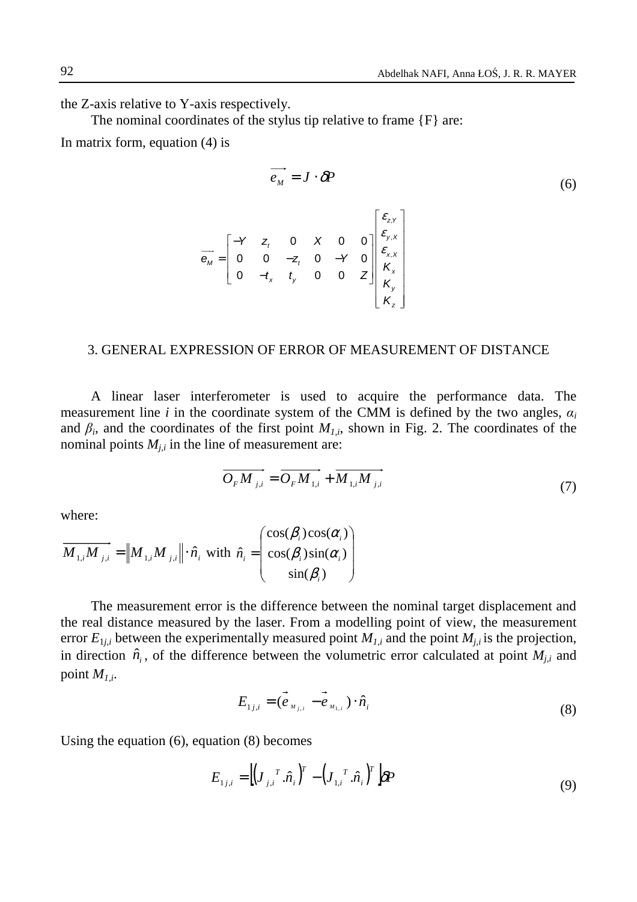the Z-axis relative to Y-axis respectively.

 $\overline{\phantom{a}}$ 

The nominal coordinates of the stylus tip relative to frame {F} are:

In matrix form, equation (4) is

$$
\overline{e_M} = J \cdot \delta P
$$
\n
$$
\overline{e_M} = \begin{bmatrix} -Y & z_t & 0 & X & 0 & 0 \\ 0 & 0 & -z_t & 0 & -Y & 0 \\ 0 & -t_x & t_y & 0 & 0 & Z \end{bmatrix} \begin{bmatrix} \varepsilon_{z,x} \\ \varepsilon_{x,x} \\ \varepsilon_{x,x} \\ K_x \\ K_y \\ K_z \end{bmatrix}
$$
\n
$$
(6)
$$

### 3. GENERAL EXPRESSION OF ERROR OF MEASUREMENT OF DISTANCE

A linear laser interferometer is used to acquire the performance data. The measurement line *i* in the coordinate system of the CMM is defined by the two angles,  $\alpha_i$ and  $\beta_i$ , and the coordinates of the first point  $M_{1,i}$ , shown in Fig. 2. The coordinates of the nominal points  $M_{i,i}$  in the line of measurement are:

 $\sim$   $\sim$   $\sim$ 

$$
\overrightarrow{O_{F}M_{j,i}} = \overrightarrow{O_{F}M_{1,i}} + \overrightarrow{M_{1,i}M_{j,i}}
$$
\n(7)

where:

$$
\overrightarrow{M_{1,i}M_{j,i}} = \|M_{1,i}M_{j,i}\| \cdot \hat{n}_i \text{ with } \hat{n}_i = \begin{pmatrix} \cos(\beta_i)\cos(\alpha_i) \\ \cos(\beta_i)\sin(\alpha_i) \\ \sin(\beta_i) \end{pmatrix}
$$

The measurement error is the difference between the nominal target displacement and the real distance measured by the laser. From a modelling point of view, the measurement error  $E_{1j,i}$  between the experimentally measured point  $M_{1,i}$  and the point  $M_{j,i}$  is the projection, in direction  $\hat{n}_i$ , of the difference between the volumetric error calculated at point  $M_{j,i}$  and point  $M_{1,i}$ .

$$
E_{1j,i} = (\vec{e}_{M_{j,i}} - \vec{e}_{M_{1,i}}) \cdot \hat{n}_i
$$
 (8)

Using the equation (6), equation (8) becomes

$$
E_{1j,i} = \left[ \left( \boldsymbol{J}_{j,i}^T . \hat{\boldsymbol{n}}_i \right)^T - \left( \boldsymbol{J}_{1,i}^T . \hat{\boldsymbol{n}}_i \right)^T \right] \delta P \tag{9}
$$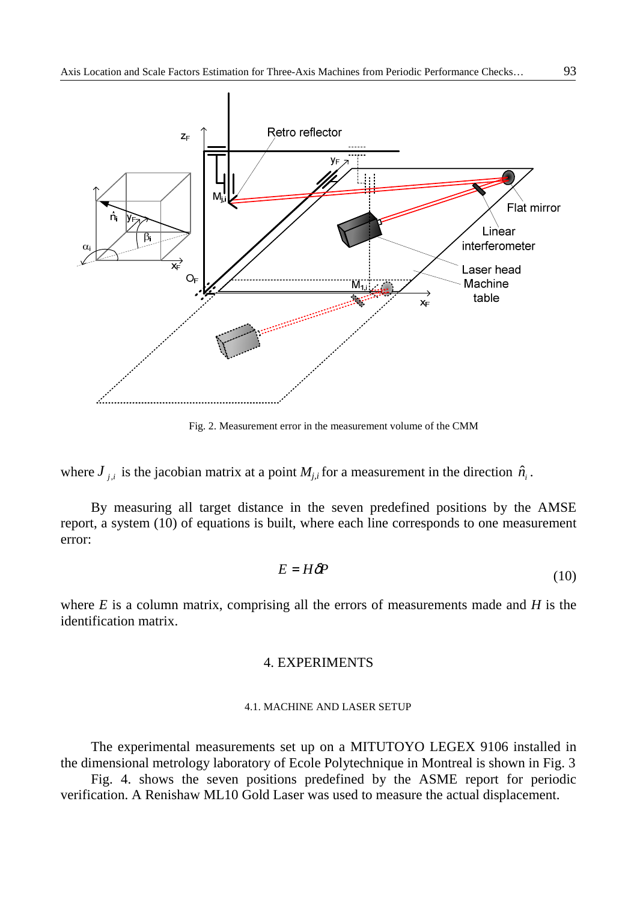

Fig. 2. Measurement error in the measurement volume of the CMM

where  $J_{j,i}$  is the jacobian matrix at a point  $M_{j,i}$  for a measurement in the direction  $\hat{n}_i$ .

By measuring all target distance in the seven predefined positions by the AMSE report, a system (10) of equations is built, where each line corresponds to one measurement error:

$$
E = H\delta P\tag{10}
$$

where *E* is a column matrix, comprising all the errors of measurements made and *H* is the identification matrix.

# 4. EXPERIMENTS

#### 4.1. MACHINE AND LASER SETUP

The experimental measurements set up on a MITUTOYO LEGEX 9106 installed in the dimensional metrology laboratory of Ecole Polytechnique in Montreal is shown in Fig. 3

Fig. 4. shows the seven positions predefined by the ASME report for periodic verification. A Renishaw ML10 Gold Laser was used to measure the actual displacement.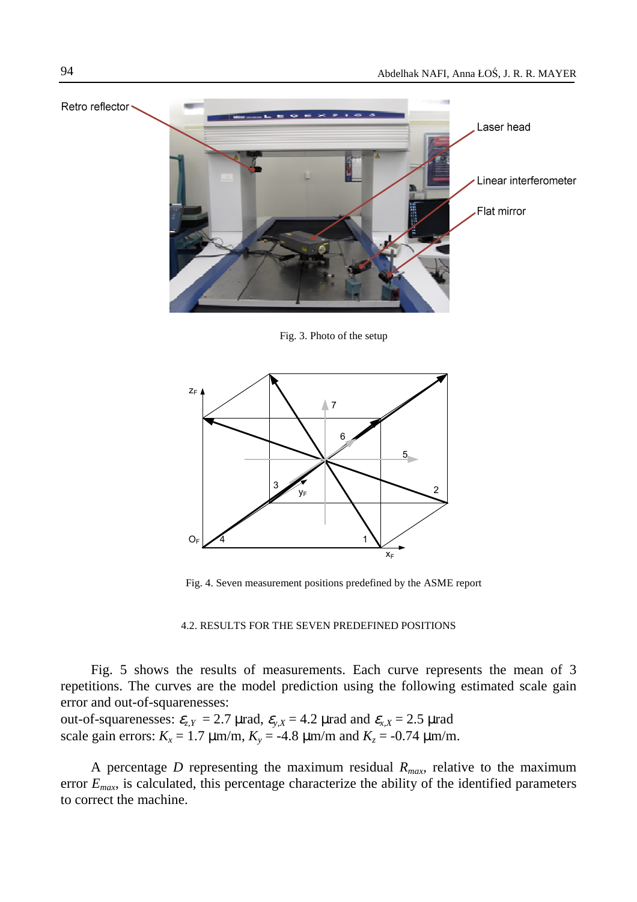

Fig. 3. Photo of the setup



Fig. 4. Seven measurement positions predefined by the ASME report

### 4.2. RESULTS FOR THE SEVEN PREDEFINED POSITIONS

Fig. 5 shows the results of measurements. Each curve represents the mean of 3 repetitions. The curves are the model prediction using the following estimated scale gain error and out-of-squarenesses:

out-of-squarenesses:  $\varepsilon_{z,Y} = 2.7 \text{ } \mu \text{rad}, \ \varepsilon_{y,X} = 4.2 \text{ } \mu \text{rad} \text{ and } \varepsilon_{x,X} = 2.5 \text{ } \mu \text{rad}$ scale gain errors:  $K_x = 1.7 \mu \text{m/m}$ ,  $K_y = -4.8 \mu \text{m/m}$  and  $K_z = -0.74 \mu \text{m/m}$ .

A percentage *D* representing the maximum residual  $R_{max}$  relative to the maximum error  $E_{max}$ , is calculated, this percentage characterize the ability of the identified parameters to correct the machine.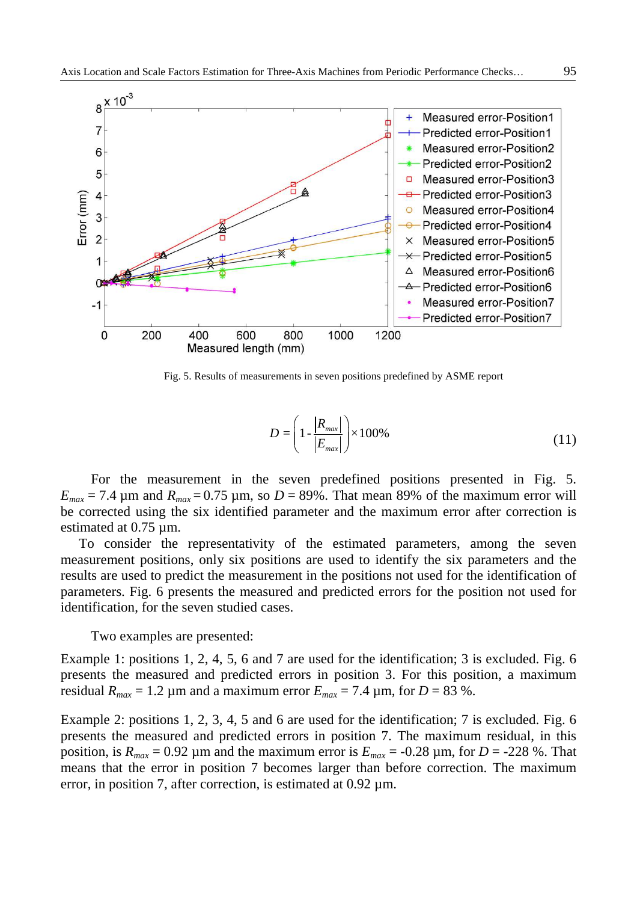

Fig. 5. Results of measurements in seven positions predefined by ASME report

$$
D = \left(1 - \frac{|R_{\text{max}}|}{|E_{\text{max}}|}\right) \times 100\%
$$
\n(11)

For the measurement in the seven predefined positions presented in Fig. 5.  $E_{max}$  = 7.4  $\mu$ m and  $R_{max}$  = 0.75  $\mu$ m, so *D* = 89%. That mean 89% of the maximum error will be corrected using the six identified parameter and the maximum error after correction is estimated at 0.75 um.

To consider the representativity of the estimated parameters, among the seven measurement positions, only six positions are used to identify the six parameters and the results are used to predict the measurement in the positions not used for the identification of parameters. Fig. 6 presents the measured and predicted errors for the position not used for identification, for the seven studied cases.

Two examples are presented:

Example 1: positions 1, 2, 4, 5, 6 and 7 are used for the identification; 3 is excluded. Fig. 6 presents the measured and predicted errors in position 3. For this position, a maximum residual  $R_{max} = 1.2 \mu$ m and a maximum error  $E_{max} = 7.4 \mu$ m, for  $D = 83 \%$ .

Example 2: positions 1, 2, 3, 4, 5 and 6 are used for the identification; 7 is excluded. Fig. 6 presents the measured and predicted errors in position 7. The maximum residual, in this position, is  $R_{max} = 0.92 \mu$ m and the maximum error is  $E_{max} = -0.28 \mu$ m, for  $D = -228 \%$ . That means that the error in position 7 becomes larger than before correction. The maximum error, in position 7, after correction, is estimated at 0.92  $\mu$ m.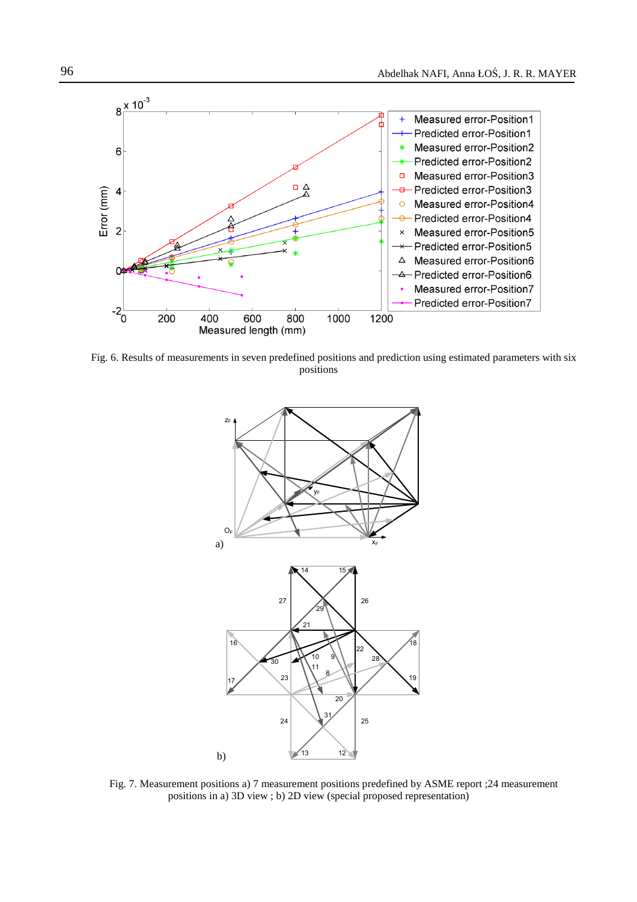

Fig. 6. Results of measurements in seven predefined positions and prediction using estimated parameters with six positions



Fig. 7. Measurement positions a) 7 measurement positions predefined by ASME report ;24 measurement positions in a) 3D view ; b) 2D view (special proposed representation)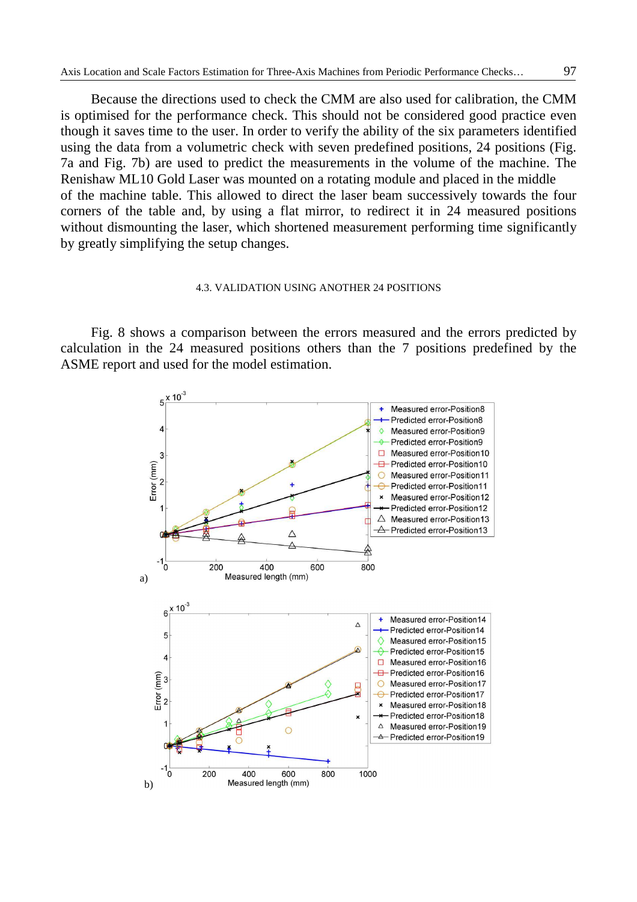Because the directions used to check the CMM are also used for calibration, the CMM is optimised for the performance check. This should not be considered good practice even though it saves time to the user. In order to verify the ability of the six parameters identified using the data from a volumetric check with seven predefined positions, 24 positions (Fig. 7a and Fig. 7b) are used to predict the measurements in the volume of the machine. The Renishaw ML10 Gold Laser was mounted on a rotating module and placed in the middle of the machine table. This allowed to direct the laser beam successively towards the four corners of the table and, by using a flat mirror, to redirect it in 24 measured positions without dismounting the laser, which shortened measurement performing time significantly by greatly simplifying the setup changes.

### 4.3. VALIDATION USING ANOTHER 24 POSITIONS

Fig. 8 shows a comparison between the errors measured and the errors predicted by calculation in the 24 measured positions others than the 7 positions predefined by the ASME report and used for the model estimation.

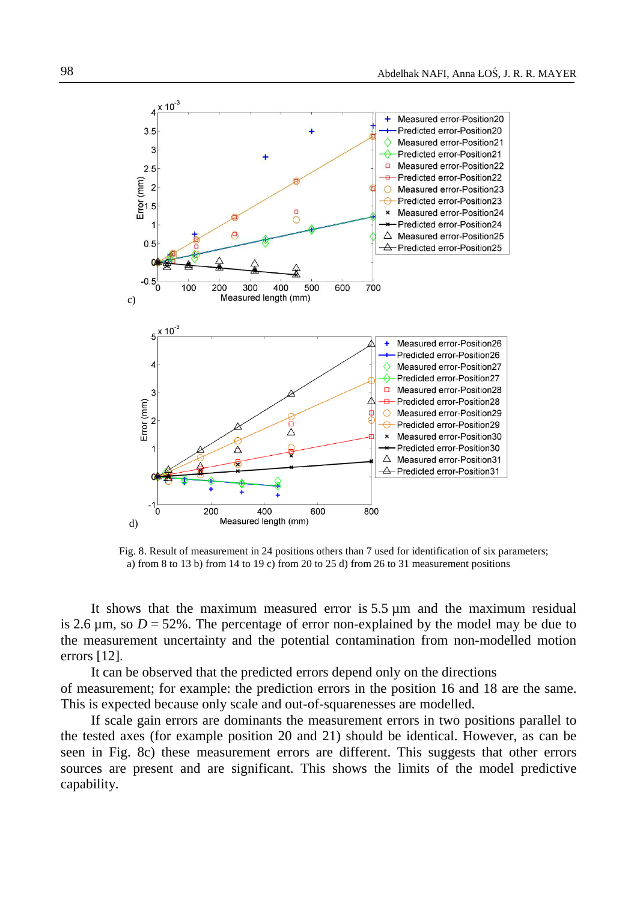

Fig. 8. Result of measurement in 24 positions others than 7 used for identification of six parameters; a) from 8 to 13 b) from 14 to 19 c) from 20 to 25 d) from 26 to 31 measurement positions

It shows that the maximum measured error is  $5.5 \mu m$  and the maximum residual is 2.6  $\mu$ m, so  $D = 52\%$ . The percentage of error non-explained by the model may be due to the measurement uncertainty and the potential contamination from non-modelled motion errors [12].

It can be observed that the predicted errors depend only on the directions of measurement; for example: the prediction errors in the position 16 and 18 are the same. This is expected because only scale and out-of-squarenesses are modelled.

If scale gain errors are dominants the measurement errors in two positions parallel to the tested axes (for example position 20 and 21) should be identical. However, as can be seen in Fig. 8c) these measurement errors are different. This suggests that other errors sources are present and are significant. This shows the limits of the model predictive capability.